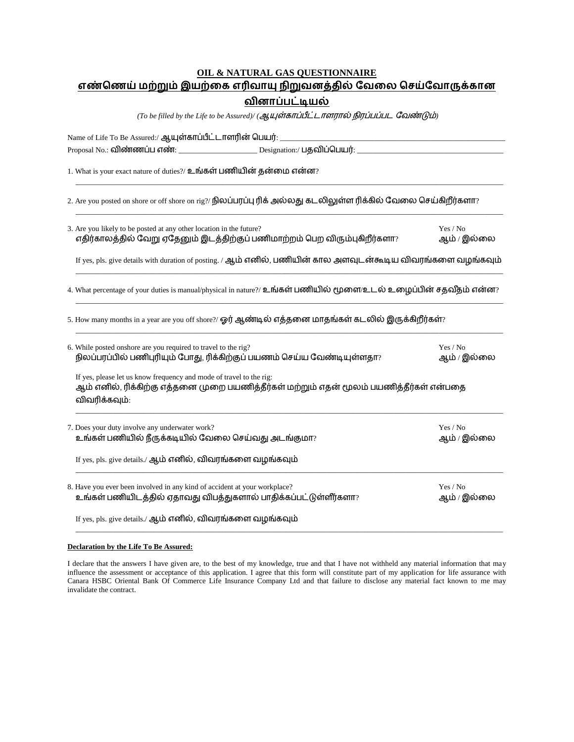## **OIL & NATURAL GAS QUESTIONNAIRE** <u>எண்ணெய் மற்றும் இயற்கை எரிவாயு நிறுவனத்தில் வேலை செய்வோருக்கான</u> வினாப்பட்டியல்

 $(To \ be \ filled \ by \ the \ Life \ to \ be \ Assured) /$   $({\cal Q}, {\cal U})$   $\overline{a}$   $\overline{b}$   $\overline{b}$   $\overline{a}$   $\overline{b}$   $\overline{b}$   $\overline{b}$   $\overline{b}$   $\overline{b}$   $\overline{b}$   $\overline{b}$   $\overline{b}$   $\overline{b}$   $\overline{b}$   $\overline{b}$   $\overline{b}$   $\overline{b}$   $\overline{b}$   $\overline{b}$   $\overline{b}$   $\overline{$ 

| Name of Life To Be Assured:/ ஆயுள்காப்பீட்டாளரின் பெயர்: ___________                                                                                                            | the control of the control of the control of the control of the control of the control of |  |  |  |
|---------------------------------------------------------------------------------------------------------------------------------------------------------------------------------|-------------------------------------------------------------------------------------------|--|--|--|
|                                                                                                                                                                                 |                                                                                           |  |  |  |
| 1. What is your exact nature of duties?/ உங்கள் பணியின் தன்மை என்ன?                                                                                                             |                                                                                           |  |  |  |
| 2. Are you posted on shore or off shore on rig?/ நிலப்பரப்பு ரிக் அல்லது கடலிலுள்ள ரிக்கில் வேலை செய்கிறீர்களா?                                                                 |                                                                                           |  |  |  |
| 3. Are you likely to be posted at any other location in the future?<br>$\sigma$ திர்காலத்தில் வேறு ஏதேனும் இடத்திற்குப் பணிமாற்றம் பெற விரும்புகிறீர்களா?                       | Yes / No<br>ஆம் / இல்லை                                                                   |  |  |  |
| If yes, pls. give details with duration of posting. / ஆம் எனில், பணியின் கால அளவுடன்கூடிய விவரங்களை வழங்கவும்                                                                   |                                                                                           |  |  |  |
| 4. What percentage of your duties is manual/physical in nature?/ உங்கள் பணியில் மூளை/உடல் உழைப்பின் சதவீதம் என்ன?                                                               |                                                                                           |  |  |  |
| 5. How many months in a year are you off shore?/ ஓர் ஆண்டில் எத்தனை மாதங்கள் கடலில் இருக்கிறீர்கள்?                                                                             |                                                                                           |  |  |  |
| 6. While posted onshore are you required to travel to the rig?<br>நிலப்பரப்பில் பணிபுரியும் போது, ரிக்கிற்குப் பயணம் செய்ய வேண்டியுள்ளதா?                                       | Yes / No<br>ஆம் / இல்லை                                                                   |  |  |  |
| If yes, please let us know frequency and mode of travel to the rig:<br>ஆம் எனில், ரிக்கிற்கு எத்தனை முறை பயணித்தீர்கள் மற்றும் எதன் மூலம் பயணித்தீர்கள் என்பதை<br>விவரிக்கவும்: |                                                                                           |  |  |  |
| 7. Does your duty involve any underwater work?<br>உங்கள் பணியில் நீருக்கடியில் வேலை செய்வது அடங்குமா?                                                                           | Yes / No<br>ஆம் / இல்லை                                                                   |  |  |  |
| If yes, pls. give details./ ஆம் எனில், விவரங்களை வழங்கவும்                                                                                                                      |                                                                                           |  |  |  |
| 8. Have you ever been involved in any kind of accident at your workplace?<br>உங்கள் பணியிடத்தில் ஏதாவது விபத்துகளால் பாதிக்கப்பட்டுள்ளீர்களா?                                   | Yes / No<br>ஆம் / இல்லை                                                                   |  |  |  |
| If yes, pls. give details./ ஆம் எனில், விவரங்களை வழங்கவும்                                                                                                                      |                                                                                           |  |  |  |

## **Declaration by the Life To Be Assured:**

I declare that the answers I have given are, to the best of my knowledge, true and that I have not withheld any material information that may influence the assessment or acceptance of this application. I agree that this form will constitute part of my application for life assurance with Canara HSBC Oriental Bank Of Commerce Life Insurance Company Ltd and that failure to disclose any material fact known to me may invalidate the contract.

\_\_\_\_\_\_\_\_\_\_\_\_\_\_\_\_\_\_\_\_\_\_\_\_\_\_\_\_\_\_\_\_\_\_\_\_\_\_\_\_\_\_\_\_\_\_\_\_\_\_\_\_\_\_\_\_\_\_\_\_\_\_\_\_\_\_\_\_\_\_\_\_\_\_\_\_\_\_\_\_\_\_\_\_\_\_\_\_\_\_\_\_\_\_\_\_\_\_\_\_\_\_\_\_\_\_\_\_\_\_\_\_\_\_